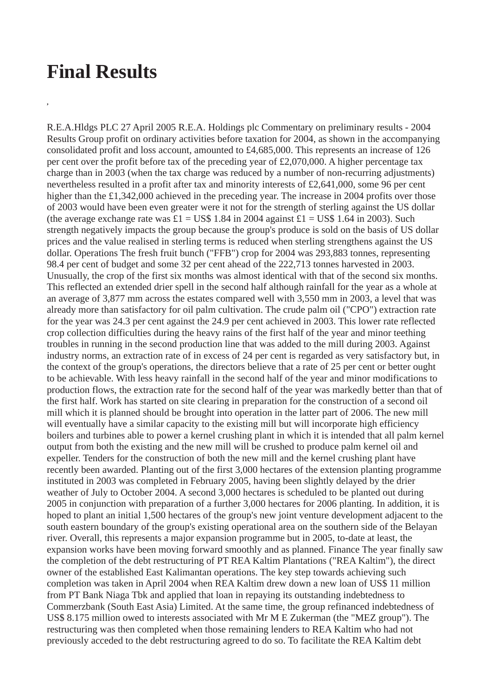## **Final Results**

**,**

R.E.A.Hldgs PLC 27 April 2005 R.E.A. Holdings plc Commentary on preliminary results - 2004 Results Group profit on ordinary activities before taxation for 2004, as shown in the accompanying consolidated profit and loss account, amounted to £4,685,000. This represents an increase of 126 per cent over the profit before tax of the preceding year of £2,070,000. A higher percentage tax charge than in 2003 (when the tax charge was reduced by a number of non-recurring adjustments) nevertheless resulted in a profit after tax and minority interests of £2,641,000, some 96 per cent higher than the £1,342,000 achieved in the preceding year. The increase in 2004 profits over those of 2003 would have been even greater were it not for the strength of sterling against the US dollar (the average exchange rate was  $E1 = US$$  1.84 in 2004 against  $E1 = US$$  1.64 in 2003). Such strength negatively impacts the group because the group's produce is sold on the basis of US dollar prices and the value realised in sterling terms is reduced when sterling strengthens against the US dollar. Operations The fresh fruit bunch ("FFB") crop for 2004 was 293,883 tonnes, representing 98.4 per cent of budget and some 32 per cent ahead of the 222,713 tonnes harvested in 2003. Unusually, the crop of the first six months was almost identical with that of the second six months. This reflected an extended drier spell in the second half although rainfall for the year as a whole at an average of 3,877 mm across the estates compared well with 3,550 mm in 2003, a level that was already more than satisfactory for oil palm cultivation. The crude palm oil ("CPO") extraction rate for the year was 24.3 per cent against the 24.9 per cent achieved in 2003. This lower rate reflected crop collection difficulties during the heavy rains of the first half of the year and minor teething troubles in running in the second production line that was added to the mill during 2003. Against industry norms, an extraction rate of in excess of 24 per cent is regarded as very satisfactory but, in the context of the group's operations, the directors believe that a rate of 25 per cent or better ought to be achievable. With less heavy rainfall in the second half of the year and minor modifications to production flows, the extraction rate for the second half of the year was markedly better than that of the first half. Work has started on site clearing in preparation for the construction of a second oil mill which it is planned should be brought into operation in the latter part of 2006. The new mill will eventually have a similar capacity to the existing mill but will incorporate high efficiency boilers and turbines able to power a kernel crushing plant in which it is intended that all palm kernel output from both the existing and the new mill will be crushed to produce palm kernel oil and expeller. Tenders for the construction of both the new mill and the kernel crushing plant have recently been awarded. Planting out of the first 3,000 hectares of the extension planting programme instituted in 2003 was completed in February 2005, having been slightly delayed by the drier weather of July to October 2004. A second 3,000 hectares is scheduled to be planted out during 2005 in conjunction with preparation of a further 3,000 hectares for 2006 planting. In addition, it is hoped to plant an initial 1,500 hectares of the group's new joint venture development adjacent to the south eastern boundary of the group's existing operational area on the southern side of the Belayan river. Overall, this represents a major expansion programme but in 2005, to-date at least, the expansion works have been moving forward smoothly and as planned. Finance The year finally saw the completion of the debt restructuring of PT REA Kaltim Plantations ("REA Kaltim"), the direct owner of the established East Kalimantan operations. The key step towards achieving such completion was taken in April 2004 when REA Kaltim drew down a new loan of US\$ 11 million from PT Bank Niaga Tbk and applied that loan in repaying its outstanding indebtedness to Commerzbank (South East Asia) Limited. At the same time, the group refinanced indebtedness of US\$ 8.175 million owed to interests associated with Mr M E Zukerman (the "MEZ group"). The restructuring was then completed when those remaining lenders to REA Kaltim who had not previously acceded to the debt restructuring agreed to do so. To facilitate the REA Kaltim debt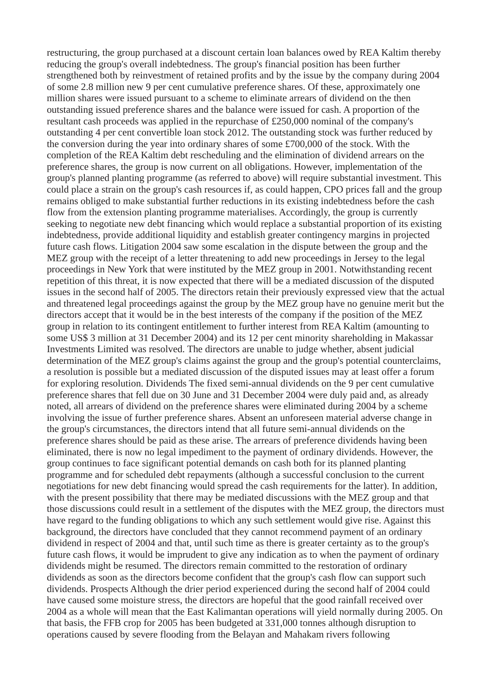restructuring, the group purchased at a discount certain loan balances owed by REA Kaltim thereby reducing the group's overall indebtedness. The group's financial position has been further strengthened both by reinvestment of retained profits and by the issue by the company during 2004 of some 2.8 million new 9 per cent cumulative preference shares. Of these, approximately one million shares were issued pursuant to a scheme to eliminate arrears of dividend on the then outstanding issued preference shares and the balance were issued for cash. A proportion of the resultant cash proceeds was applied in the repurchase of £250,000 nominal of the company's outstanding 4 per cent convertible loan stock 2012. The outstanding stock was further reduced by the conversion during the year into ordinary shares of some £700,000 of the stock. With the completion of the REA Kaltim debt rescheduling and the elimination of dividend arrears on the preference shares, the group is now current on all obligations. However, implementation of the group's planned planting programme (as referred to above) will require substantial investment. This could place a strain on the group's cash resources if, as could happen, CPO prices fall and the group remains obliged to make substantial further reductions in its existing indebtedness before the cash flow from the extension planting programme materialises. Accordingly, the group is currently seeking to negotiate new debt financing which would replace a substantial proportion of its existing indebtedness, provide additional liquidity and establish greater contingency margins in projected future cash flows. Litigation 2004 saw some escalation in the dispute between the group and the MEZ group with the receipt of a letter threatening to add new proceedings in Jersey to the legal proceedings in New York that were instituted by the MEZ group in 2001. Notwithstanding recent repetition of this threat, it is now expected that there will be a mediated discussion of the disputed issues in the second half of 2005. The directors retain their previously expressed view that the actual and threatened legal proceedings against the group by the MEZ group have no genuine merit but the directors accept that it would be in the best interests of the company if the position of the MEZ group in relation to its contingent entitlement to further interest from REA Kaltim (amounting to some US\$ 3 million at 31 December 2004) and its 12 per cent minority shareholding in Makassar Investments Limited was resolved. The directors are unable to judge whether, absent judicial determination of the MEZ group's claims against the group and the group's potential counterclaims, a resolution is possible but a mediated discussion of the disputed issues may at least offer a forum for exploring resolution. Dividends The fixed semi-annual dividends on the 9 per cent cumulative preference shares that fell due on 30 June and 31 December 2004 were duly paid and, as already noted, all arrears of dividend on the preference shares were eliminated during 2004 by a scheme involving the issue of further preference shares. Absent an unforeseen material adverse change in the group's circumstances, the directors intend that all future semi-annual dividends on the preference shares should be paid as these arise. The arrears of preference dividends having been eliminated, there is now no legal impediment to the payment of ordinary dividends. However, the group continues to face significant potential demands on cash both for its planned planting programme and for scheduled debt repayments (although a successful conclusion to the current negotiations for new debt financing would spread the cash requirements for the latter). In addition, with the present possibility that there may be mediated discussions with the MEZ group and that those discussions could result in a settlement of the disputes with the MEZ group, the directors must have regard to the funding obligations to which any such settlement would give rise. Against this background, the directors have concluded that they cannot recommend payment of an ordinary dividend in respect of 2004 and that, until such time as there is greater certainty as to the group's future cash flows, it would be imprudent to give any indication as to when the payment of ordinary dividends might be resumed. The directors remain committed to the restoration of ordinary dividends as soon as the directors become confident that the group's cash flow can support such dividends. Prospects Although the drier period experienced during the second half of 2004 could have caused some moisture stress, the directors are hopeful that the good rainfall received over 2004 as a whole will mean that the East Kalimantan operations will yield normally during 2005. On that basis, the FFB crop for 2005 has been budgeted at 331,000 tonnes although disruption to operations caused by severe flooding from the Belayan and Mahakam rivers following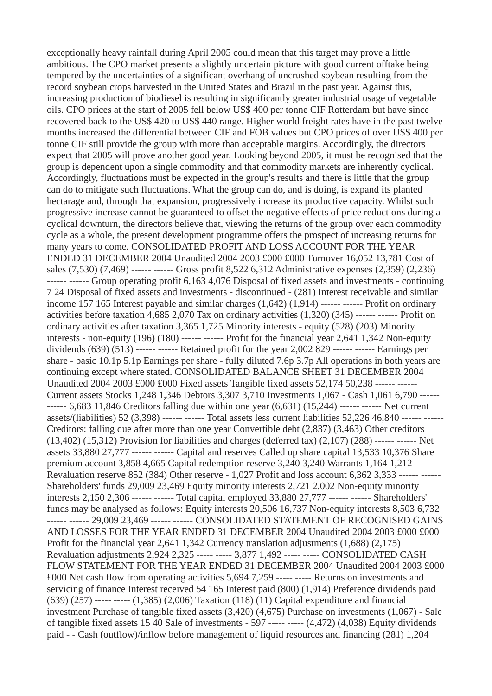exceptionally heavy rainfall during April 2005 could mean that this target may prove a little ambitious. The CPO market presents a slightly uncertain picture with good current offtake being tempered by the uncertainties of a significant overhang of uncrushed soybean resulting from the record soybean crops harvested in the United States and Brazil in the past year. Against this, increasing production of biodiesel is resulting in significantly greater industrial usage of vegetable oils. CPO prices at the start of 2005 fell below US\$ 400 per tonne CIF Rotterdam but have since recovered back to the US\$ 420 to US\$ 440 range. Higher world freight rates have in the past twelve months increased the differential between CIF and FOB values but CPO prices of over US\$ 400 per tonne CIF still provide the group with more than acceptable margins. Accordingly, the directors expect that 2005 will prove another good year. Looking beyond 2005, it must be recognised that the group is dependent upon a single commodity and that commodity markets are inherently cyclical. Accordingly, fluctuations must be expected in the group's results and there is little that the group can do to mitigate such fluctuations. What the group can do, and is doing, is expand its planted hectarage and, through that expansion, progressively increase its productive capacity. Whilst such progressive increase cannot be guaranteed to offset the negative effects of price reductions during a cyclical downturn, the directors believe that, viewing the returns of the group over each commodity cycle as a whole, the present development programme offers the prospect of increasing returns for many years to come. CONSOLIDATED PROFIT AND LOSS ACCOUNT FOR THE YEAR ENDED 31 DECEMBER 2004 Unaudited 2004 2003 £000 £000 Turnover 16,052 13,781 Cost of sales (7,530) (7,469) ------ ------ Gross profit 8,522 6,312 Administrative expenses (2,359) (2,236) ------ ------ Group operating profit 6,163 4,076 Disposal of fixed assets and investments - continuing 7 24 Disposal of fixed assets and investments - discontinued - (281) Interest receivable and similar income 157 165 Interest payable and similar charges (1,642) (1,914) ------ ------ Profit on ordinary activities before taxation 4,685 2,070 Tax on ordinary activities (1,320) (345) ------ ------ Profit on ordinary activities after taxation 3,365 1,725 Minority interests - equity (528) (203) Minority interests - non-equity  $(196)$   $(180)$  ------ ------ Profit for the financial year  $2,641$   $1,342$  Non-equity dividends (639) (513) ------ ------ Retained profit for the year 2,002 829 ------ ------ Earnings per share - basic 10.1p 5.1p Earnings per share - fully diluted 7.6p 3.7p All operations in both years are continuing except where stated. CONSOLIDATED BALANCE SHEET 31 DECEMBER 2004 Unaudited 2004 2003 £000 £000 Fixed assets Tangible fixed assets 52,174 50,238 ------ ------ Current assets Stocks 1,248 1,346 Debtors 3,307 3,710 Investments 1,067 - Cash 1,061 6,790 ------ ------ 6,683 11,846 Creditors falling due within one year (6,631) (15,244) ------ ------ Net current assets/(liabilities) 52 (3,398) ------ ------ Total assets less current liabilities 52,226 46,840 ------ ----Creditors: falling due after more than one year Convertible debt (2,837) (3,463) Other creditors (13,402) (15,312) Provision for liabilities and charges (deferred tax) (2,107) (288) ------ ------ Net assets 33,880 27,777 ------ ------ Capital and reserves Called up share capital 13,533 10,376 Share premium account 3,858 4,665 Capital redemption reserve 3,240 3,240 Warrants 1,164 1,212 Revaluation reserve 852 (384) Other reserve - 1,027 Profit and loss account 6,362 3,333 ------ -Shareholders' funds 29,009 23,469 Equity minority interests 2,721 2,002 Non-equity minority interests 2,150 2,306 ------ ------ Total capital employed 33,880 27,777 ------ ------ Shareholders' funds may be analysed as follows: Equity interests 20,506 16,737 Non-equity interests 8,503 6,732 ------ ------ 29,009 23,469 ------ ------ CONSOLIDATED STATEMENT OF RECOGNISED GAINS AND LOSSES FOR THE YEAR ENDED 31 DECEMBER 2004 Unaudited 2004 2003 £000 £000 Profit for the financial year 2,641 1,342 Currency translation adjustments (1,688) (2,175) Revaluation adjustments 2,924 2,325 ----- ----- 3,877 1,492 ----- ----- CONSOLIDATED CASH FLOW STATEMENT FOR THE YEAR ENDED 31 DECEMBER 2004 Unaudited 2004 2003 £000 £000 Net cash flow from operating activities 5,694 7,259 ----- ----- Returns on investments and servicing of finance Interest received 54 165 Interest paid (800) (1,914) Preference dividends paid (639) (257) ----- ----- (1,385) (2,006) Taxation (118) (11) Capital expenditure and financial investment Purchase of tangible fixed assets (3,420) (4,675) Purchase on investments (1,067) - Sale of tangible fixed assets 15 40 Sale of investments - 597 ----- ----- (4,472) (4,038) Equity dividends paid - - Cash (outflow)/inflow before management of liquid resources and financing (281) 1,204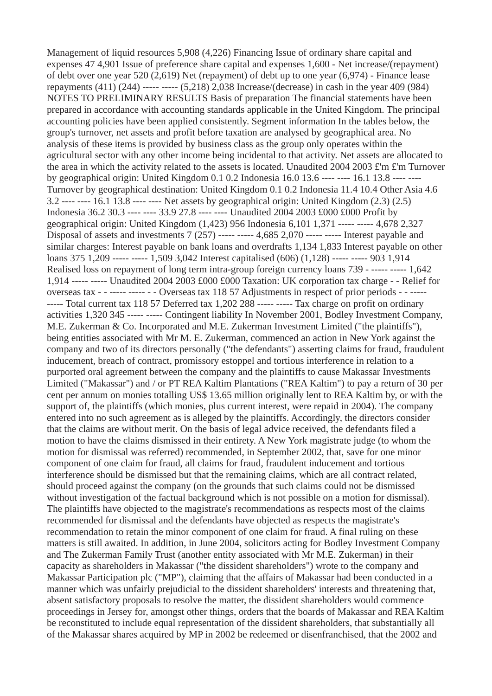Management of liquid resources 5,908 (4,226) Financing Issue of ordinary share capital and expenses 47 4,901 Issue of preference share capital and expenses 1,600 - Net increase/(repayment) of debt over one year 520 (2,619) Net (repayment) of debt up to one year (6,974) - Finance lease repayments (411) (244) ----- ----- (5,218) 2,038 Increase/(decrease) in cash in the year 409 (984) NOTES TO PRELIMINARY RESULTS Basis of preparation The financial statements have been prepared in accordance with accounting standards applicable in the United Kingdom. The principal accounting policies have been applied consistently. Segment information In the tables below, the group's turnover, net assets and profit before taxation are analysed by geographical area. No analysis of these items is provided by business class as the group only operates within the agricultural sector with any other income being incidental to that activity. Net assets are allocated to the area in which the activity related to the assets is located. Unaudited 2004 2003 £'m £'m Turnover by geographical origin: United Kingdom 0.1 0.2 Indonesia 16.0 13.6 ---- ---- 16.1 13.8 ---- ---- Turnover by geographical destination: United Kingdom 0.1 0.2 Indonesia 11.4 10.4 Other Asia 4.6 3.2 ---- ---- 16.1 13.8 ---- ---- Net assets by geographical origin: United Kingdom (2.3) (2.5) Indonesia 36.2 30.3 ---- ---- 33.9 27.8 ---- ---- Unaudited 2004 2003 £000 £000 Profit by geographical origin: United Kingdom (1,423) 956 Indonesia 6,101 1,371 ----- ----- 4,678 2,327 Disposal of assets and investments 7 (257) ----- ----- 4,685 2,070 ----- ----- Interest payable and similar charges: Interest payable on bank loans and overdrafts 1,134 1,833 Interest payable on other loans 375 1,209 ----- ----- 1,509 3,042 Interest capitalised (606) (1,128) ----- ----- 903 1,914 Realised loss on repayment of long term intra-group foreign currency loans 739 - ----- ----- 1,642 1,914 ----- ----- Unaudited 2004 2003 £000 £000 Taxation: UK corporation tax charge - - Relief for overseas tax - - ----- ----- - - Overseas tax 118 57 Adjustments in respect of prior periods - - ----- ----- Total current tax 118 57 Deferred tax 1,202 288 ----- ----- Tax charge on profit on ordinary activities 1,320 345 ----- ----- Contingent liability In November 2001, Bodley Investment Company, M.E. Zukerman & Co. Incorporated and M.E. Zukerman Investment Limited ("the plaintiffs"), being entities associated with Mr M. E. Zukerman, commenced an action in New York against the company and two of its directors personally ("the defendants") asserting claims for fraud, fraudulent inducement, breach of contract, promissory estoppel and tortious interference in relation to a purported oral agreement between the company and the plaintiffs to cause Makassar Investments Limited ("Makassar") and / or PT REA Kaltim Plantations ("REA Kaltim") to pay a return of 30 per cent per annum on monies totalling US\$ 13.65 million originally lent to REA Kaltim by, or with the support of, the plaintiffs (which monies, plus current interest, were repaid in 2004). The company entered into no such agreement as is alleged by the plaintiffs. Accordingly, the directors consider that the claims are without merit. On the basis of legal advice received, the defendants filed a motion to have the claims dismissed in their entirety. A New York magistrate judge (to whom the motion for dismissal was referred) recommended, in September 2002, that, save for one minor component of one claim for fraud, all claims for fraud, fraudulent inducement and tortious interference should be dismissed but that the remaining claims, which are all contract related, should proceed against the company (on the grounds that such claims could not be dismissed without investigation of the factual background which is not possible on a motion for dismissal). The plaintiffs have objected to the magistrate's recommendations as respects most of the claims recommended for dismissal and the defendants have objected as respects the magistrate's recommendation to retain the minor component of one claim for fraud. A final ruling on these matters is still awaited. In addition, in June 2004, solicitors acting for Bodley Investment Company and The Zukerman Family Trust (another entity associated with Mr M.E. Zukerman) in their capacity as shareholders in Makassar ("the dissident shareholders") wrote to the company and Makassar Participation plc ("MP"), claiming that the affairs of Makassar had been conducted in a manner which was unfairly prejudicial to the dissident shareholders' interests and threatening that, absent satisfactory proposals to resolve the matter, the dissident shareholders would commence proceedings in Jersey for, amongst other things, orders that the boards of Makassar and REA Kaltim be reconstituted to include equal representation of the dissident shareholders, that substantially all of the Makassar shares acquired by MP in 2002 be redeemed or disenfranchised, that the 2002 and